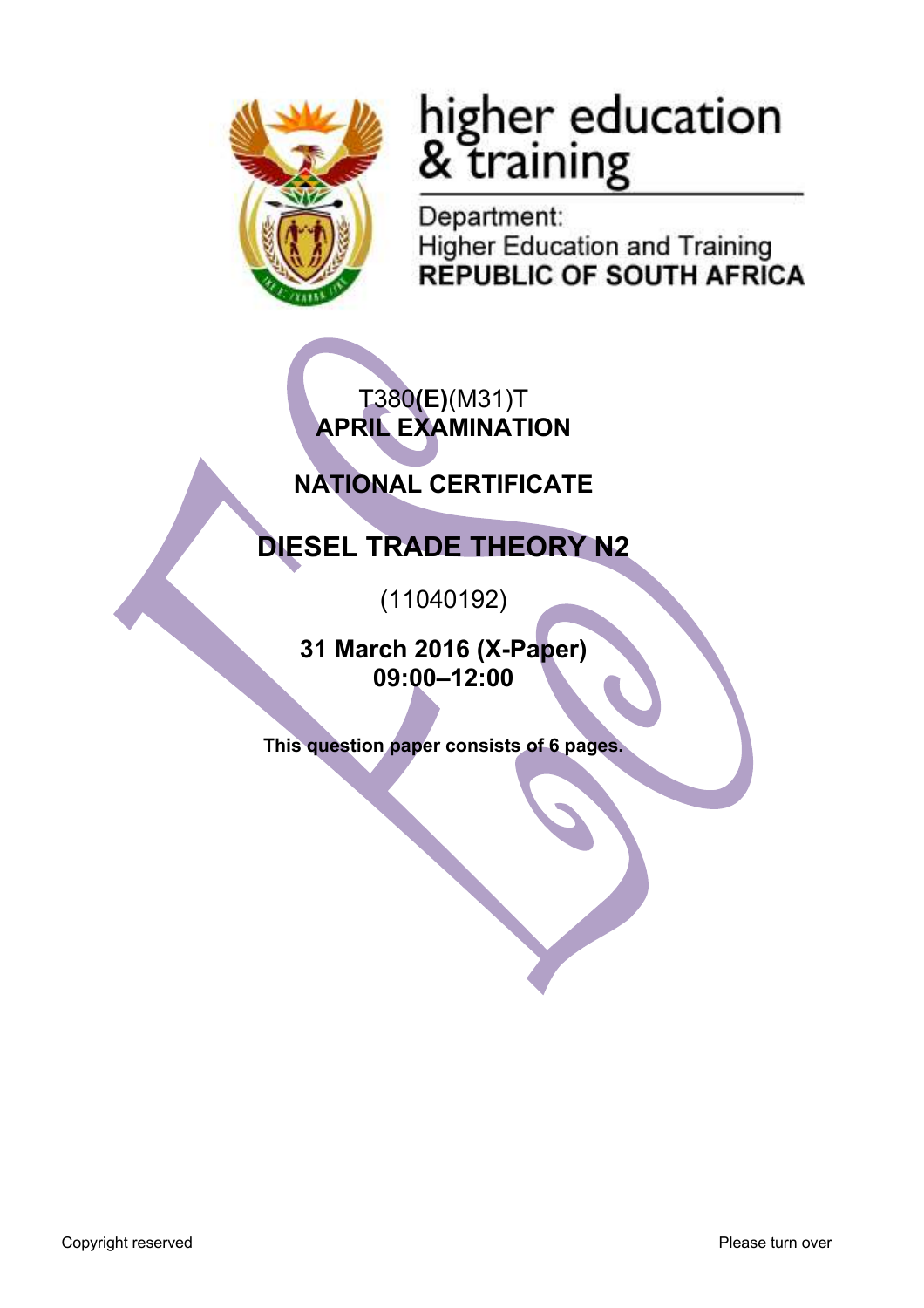

# higher education<br>& training

Department: **Higher Education and Training REPUBLIC OF SOUTH AFRICA** 

T380**(E)**(M31)T **APRIL EXAMINATION**

## **NATIONAL CERTIFICATE**

# **DIESEL TRADE THEORY N2**

(11040192)

**31 March 2016 (X-Paper) 09:00–12:00**

**This question paper consists of 6 pages.**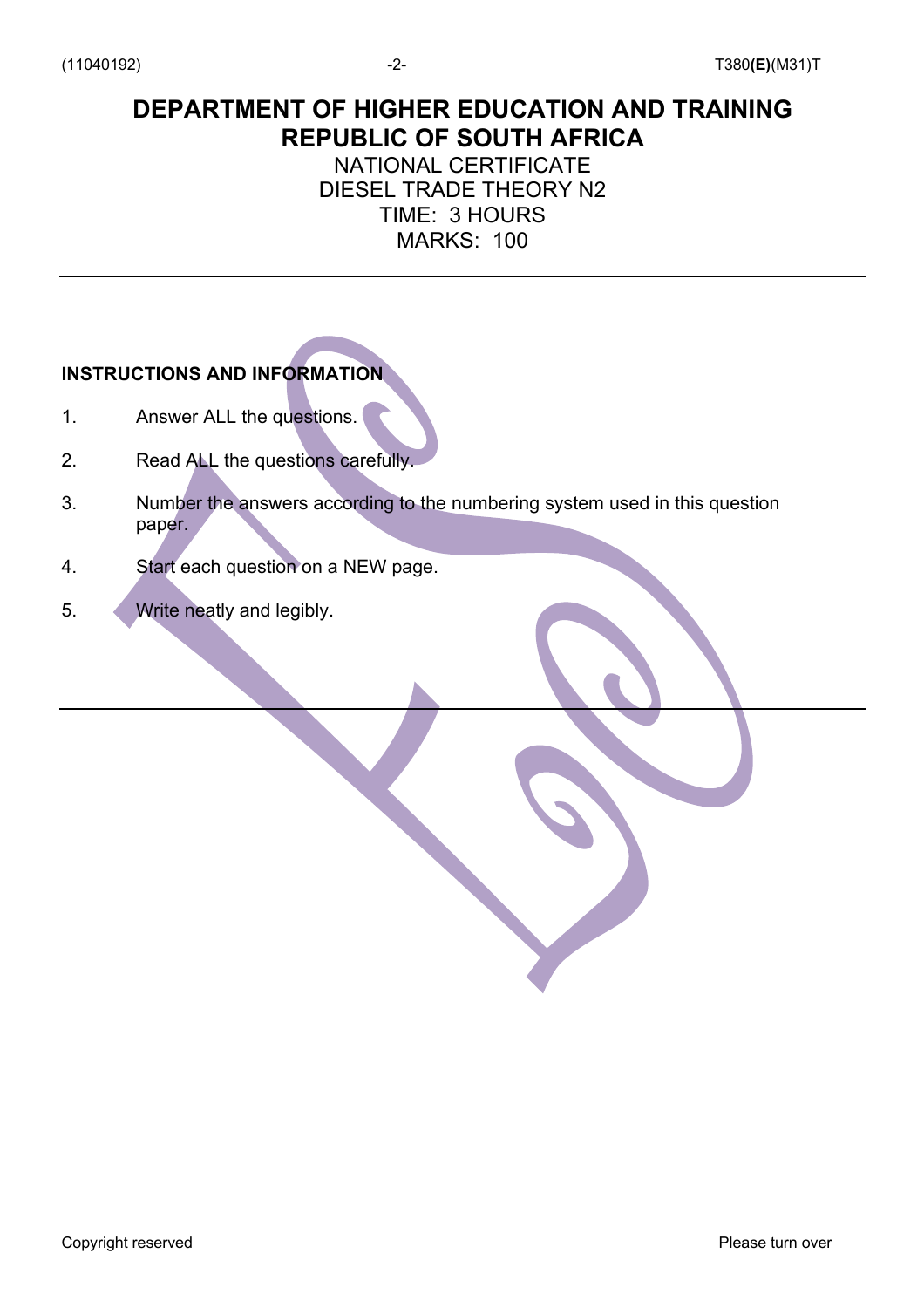### **DEPARTMENT OF HIGHER EDUCATION AND TRAINING REPUBLIC OF SOUTH AFRICA**

#### NATIONAL CERTIFICATE DIESEL TRADE THEORY N2 TIME: 3 HOURS MARKS: 100

#### **INSTRUCTIONS AND INFORMATION**

- 1. Answer ALL the questions.
- 2. Read ALL the questions carefully.
- 3. Number the answers according to the numbering system used in this question paper.
- 4. Start each question on a NEW page.
- 5. Write neatly and legibly.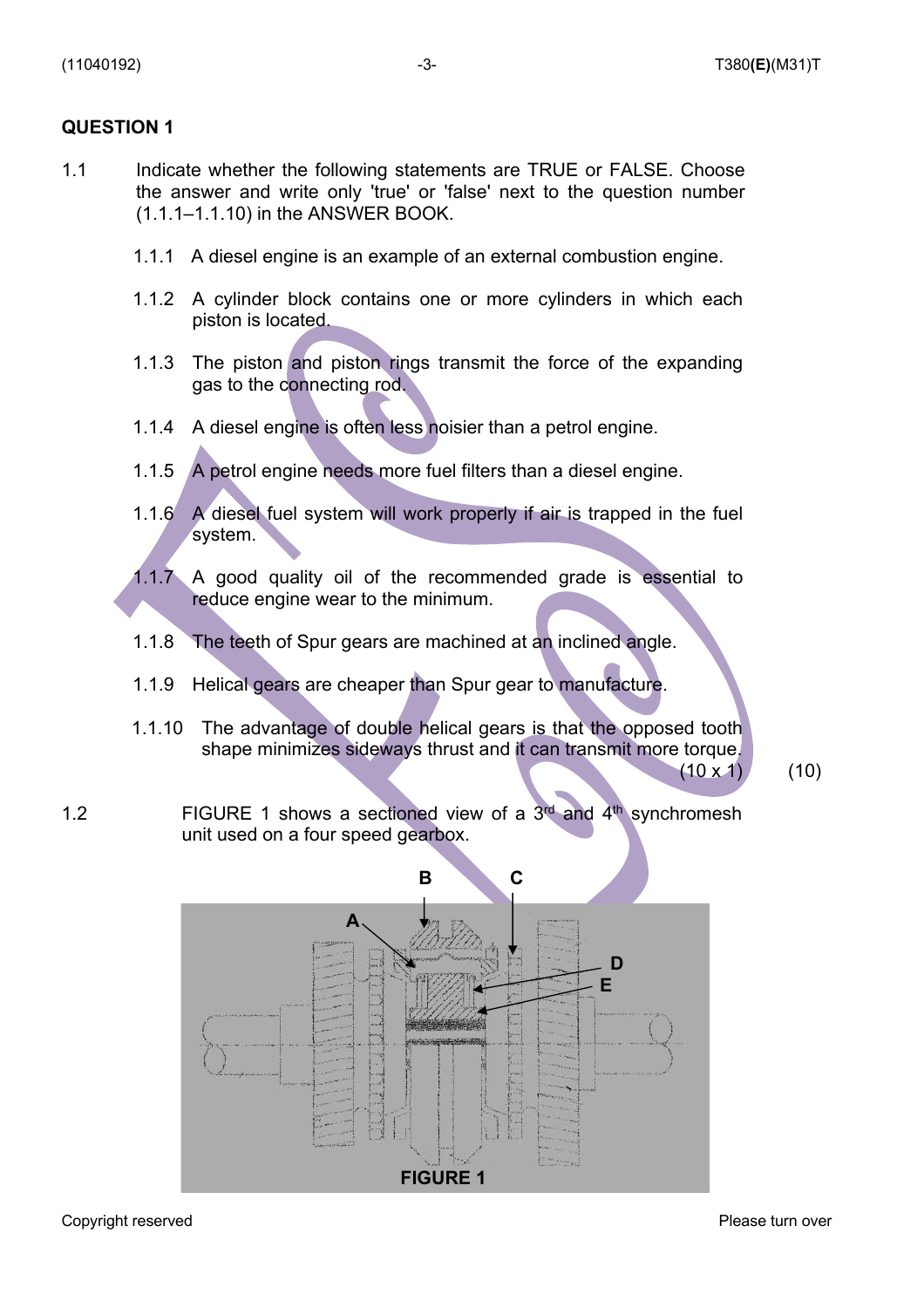#### **QUESTION 1**

- 1.1 Indicate whether the following statements are TRUE or FALSE. Choose the answer and write only 'true' or 'false' next to the question number (1.1.1–1.1.10) in the ANSWER BOOK.
	- 1.1.1 A diesel engine is an example of an external combustion engine.
	- 1.1.2 A cylinder block contains one or more cylinders in which each piston is located.
	- 1.1.3 The piston and piston rings transmit the force of the expanding gas to the connecting rod.
	- 1.1.4 A diesel engine is often less noisier than a petrol engine.
	- 1.1.5 A petrol engine needs more fuel filters than a diesel engine.
	- 1.1.6 A diesel fuel system will work properly if air is trapped in the fuel system.
	- 1.1.7 A good quality oil of the recommended grade is essential to reduce engine wear to the minimum.
	- 1.1.8 The teeth of Spur gears are machined at an inclined angle.
	- 1.1.9 Helical gears are cheaper than Spur gear to manufacture.
	- 1.1.10 The advantage of double helical gears is that the opposed tooth shape minimizes sideways thrust and it can transmit more torque.

 $(10 \times 1)$  (10)

1.2 **FIGURE 1** shows a sectioned view of a  $3<sup>rd</sup>$  and  $4<sup>th</sup>$  synchromesh unit used on a four speed gearbox.

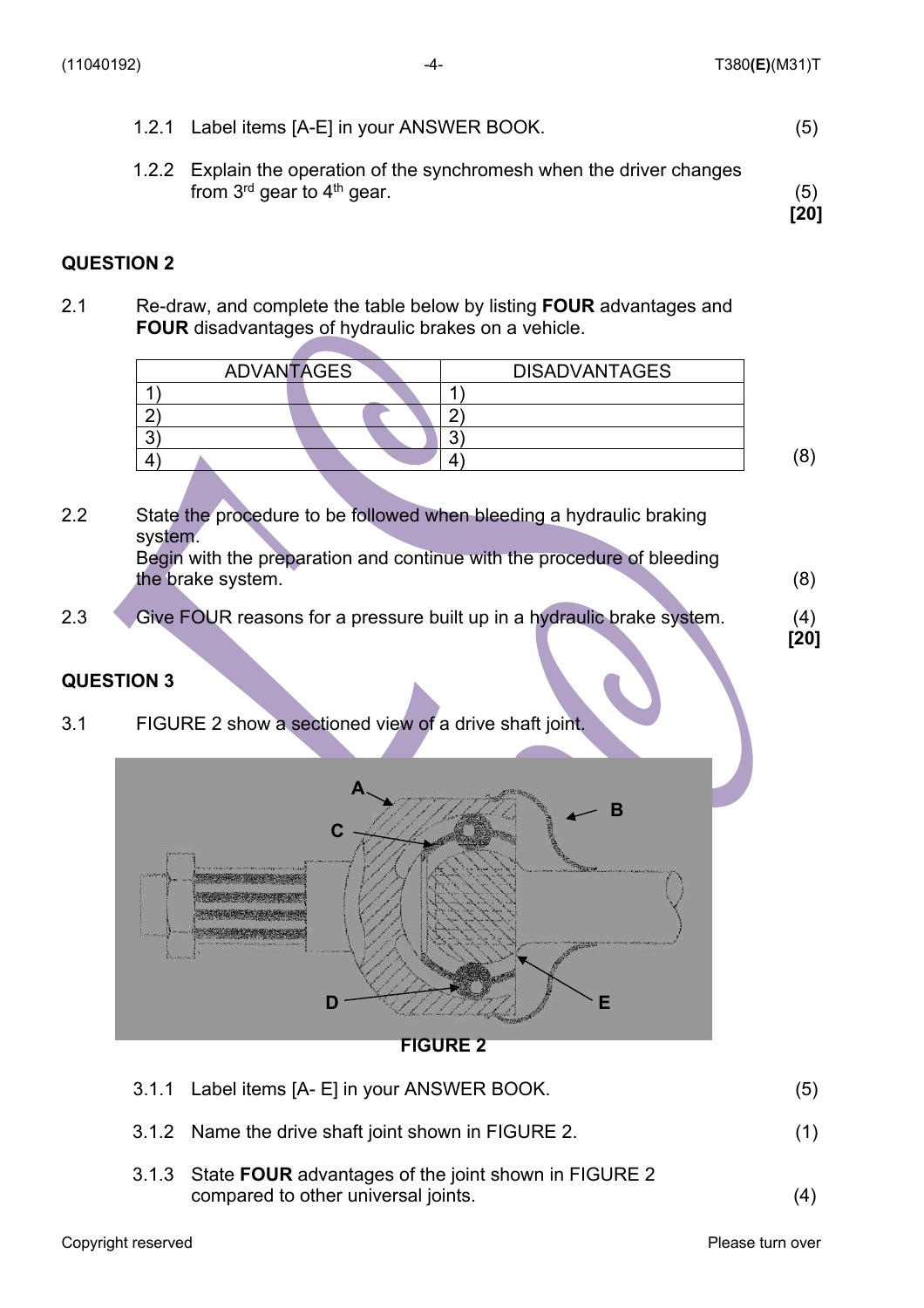|  | 1.2.1 Label items [A-E] in your ANSWER BOOK. |  |
|--|----------------------------------------------|--|
|--|----------------------------------------------|--|

1.2.2 Explain the operation of the synchromesh when the driver changes from  $3^{rd}$  gear to  $4^{th}$  gear. (5)  **[20]** 

#### **QUESTION 2**

2.1 Re-draw, and complete the table below by listing **FOUR** advantages and **FOUR** disadvantages of hydraulic brakes on a vehicle.

| <b>ADVANTAGES</b> |  | <b>DISADVANTAGES</b> |   |
|-------------------|--|----------------------|---|
|                   |  |                      |   |
|                   |  |                      |   |
|                   |  |                      |   |
|                   |  |                      | O |
|                   |  |                      |   |

- 2.2 State the procedure to be followed when bleeding a hydraulic braking system. Begin with the preparation and continue with the procedure of bleeding the brake system.(8)
- 2.3 Give FOUR reasons for a pressure built up in a hydraulic brake system.(4) **[20]**

#### **QUESTION 3**

3.1 FIGURE 2 show a sectioned view of a drive shaft joint.



**FIGURE 2**

| 3.1.1 Label items [A- E] in your ANSWER BOOK. |  |
|-----------------------------------------------|--|
|                                               |  |

- 3.1.2 Name the drive shaft joint shown in FIGURE 2.(1)
- 3.1.3 State **FOUR** advantages of the joint shown in FIGURE 2 compared to other universal joints.

(4)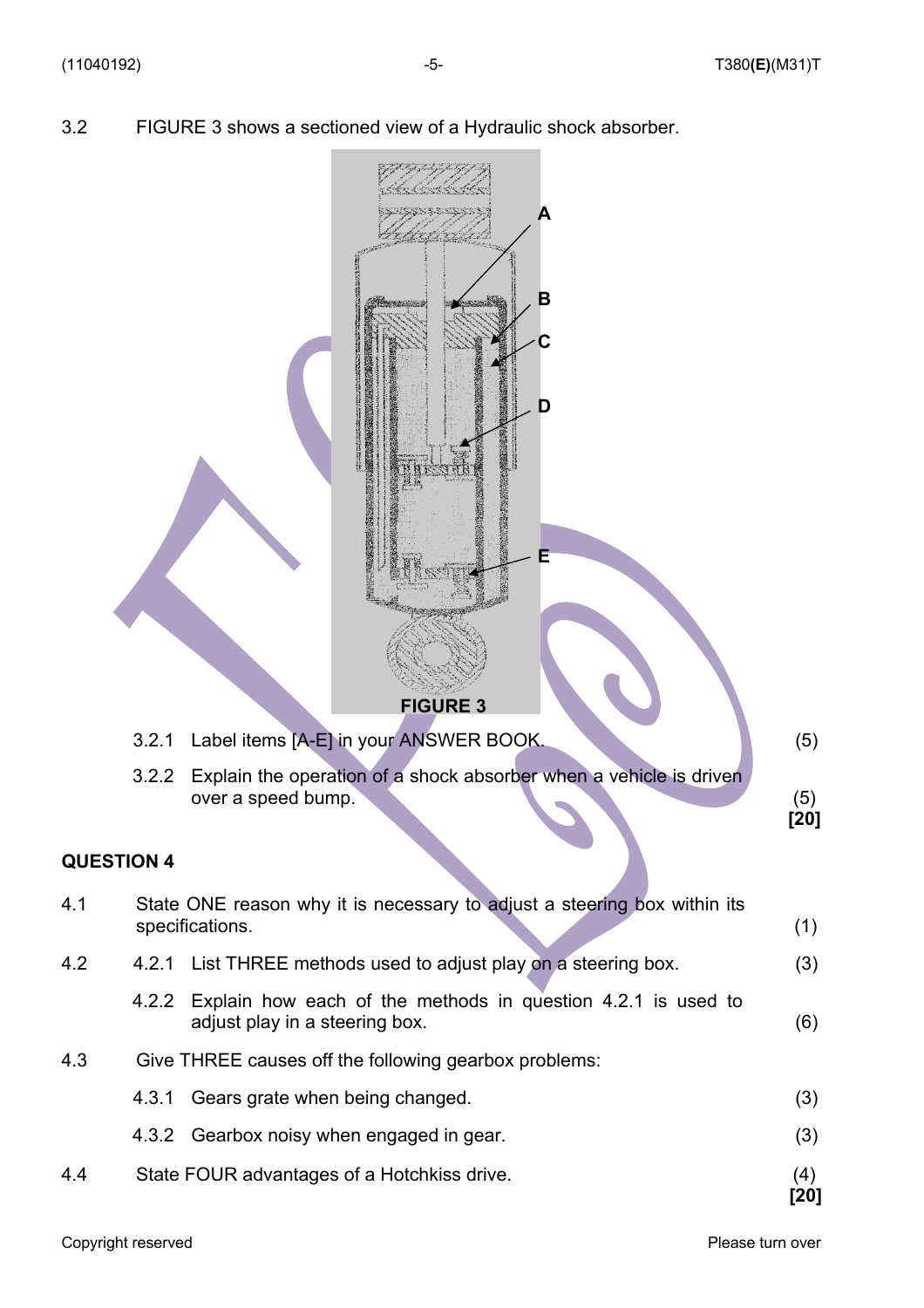3.2 FIGURE 3 shows a sectioned view of a Hydraulic shock absorber.

|                   |       | В<br>D<br><b>FIGURE 3</b>                                                                            |               |
|-------------------|-------|------------------------------------------------------------------------------------------------------|---------------|
|                   | 3.2.1 | Label items [A-E] in your ANSWER BOOK.                                                               | (5)           |
|                   | 3.2.2 | Explain the operation of a shock absorber when a vehicle is driven<br>over a speed bump.             | (5)<br>$[20]$ |
|                   |       |                                                                                                      |               |
| <b>QUESTION 4</b> |       |                                                                                                      |               |
| 4.1               |       | State ONE reason why it is necessary to adjust a steering box within its<br>specifications.          | (1)           |
| 4.2               |       | 4.2.1 List THREE methods used to adjust play on a steering box.                                      | (3)           |
|                   |       | 4.2.2 Explain how each of the methods in question 4.2.1 is used to<br>adjust play in a steering box. | (6)           |
| 4.3               |       | Give THREE causes off the following gearbox problems:                                                |               |
|                   | 4.3.1 | Gears grate when being changed.                                                                      | (3)           |
|                   |       | 4.3.2 Gearbox noisy when engaged in gear.                                                            | (3)           |
| 4.4               |       | State FOUR advantages of a Hotchkiss drive.                                                          | (4)<br>[20]   |